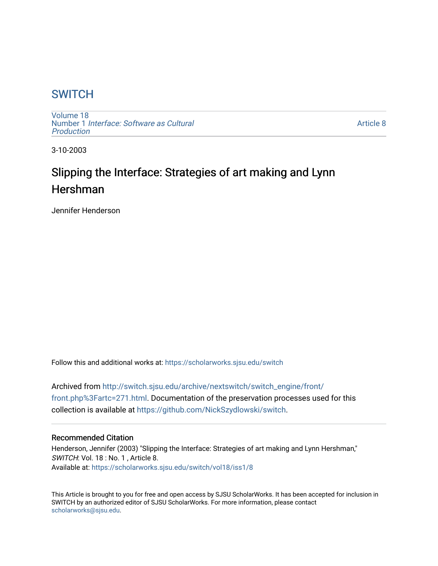## **SWITCH**

[Volume 18](https://scholarworks.sjsu.edu/switch/vol18) Number 1 [Interface: Software as Cultural](https://scholarworks.sjsu.edu/switch/vol18/iss1)  [Production](https://scholarworks.sjsu.edu/switch/vol18/iss1)

[Article 8](https://scholarworks.sjsu.edu/switch/vol18/iss1/8) 

3-10-2003

# Slipping the Interface: Strategies of art making and Lynn Hershman

Jennifer Henderson

Follow this and additional works at: [https://scholarworks.sjsu.edu/switch](https://scholarworks.sjsu.edu/switch?utm_source=scholarworks.sjsu.edu%2Fswitch%2Fvol18%2Fiss1%2F8&utm_medium=PDF&utm_campaign=PDFCoverPages)

Archived from [http://switch.sjsu.edu/archive/nextswitch/switch\\_engine/front/](http://switch.sjsu.edu/archive/nextswitch/switch_engine/front/front.php%3Fartc=271.html) [front.php%3Fartc=271.html.](http://switch.sjsu.edu/archive/nextswitch/switch_engine/front/front.php%3Fartc=271.html) Documentation of the preservation processes used for this collection is available at [https://github.com/NickSzydlowski/switch.](https://github.com/NickSzydlowski/switch)

#### Recommended Citation

Henderson, Jennifer (2003) "Slipping the Interface: Strategies of art making and Lynn Hershman," SWITCH: Vol. 18 : No. 1, Article 8. Available at: [https://scholarworks.sjsu.edu/switch/vol18/iss1/8](https://scholarworks.sjsu.edu/switch/vol18/iss1/8?utm_source=scholarworks.sjsu.edu%2Fswitch%2Fvol18%2Fiss1%2F8&utm_medium=PDF&utm_campaign=PDFCoverPages) 

This Article is brought to you for free and open access by SJSU ScholarWorks. It has been accepted for inclusion in SWITCH by an authorized editor of SJSU ScholarWorks. For more information, please contact [scholarworks@sjsu.edu](mailto:scholarworks@sjsu.edu).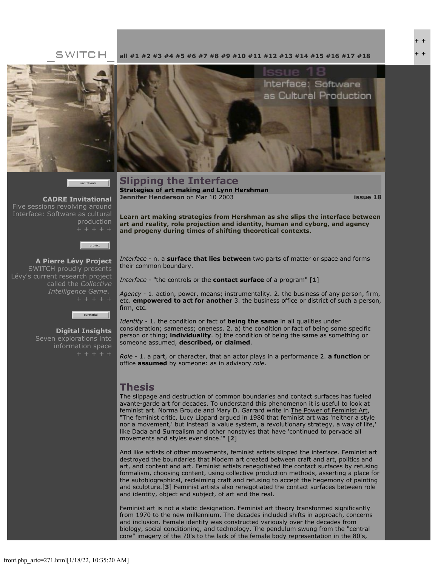#### SWITCH



invitational

**[CADRE Invitational](file:///Users/nszydlowski/Desktop/websites%20copy/Switch%20Journal/switch.sjsu.edu/archive/nextswitch/switch_engine/front/front.php_cat%3d45.html)** Five sessions revolving around Interface: Software as cultural production



**[A Pierre Lévy Project](file:///Users/nszydlowski/Desktop/websites%20copy/Switch%20Journal/switch.sjsu.edu/archive/nextswitch/switch_engine/front/front.php_cat%3d48.html)** SWITCH proudly presents Lévy's current research project called the *Collective Intelligence Game*.



**[Digital Insights](file:///Users/nszydlowski/Desktop/websites%20copy/Switch%20Journal/switch.sjsu.edu/archive/nextswitch/switch_engine/front/front.php_cat%3d46.html)** Seven explorations into information space

**[all](file:///Users/nszydlowski/Desktop/websites%20copy/Switch%20Journal/switch.sjsu.edu/archive/nextswitch/switch_engine/front/front.php.html) [#1](file:///Users/nszydlowski/Desktop/websites%20copy/Switch%20Journal/switch.sjsu.edu/archive/nextswitch/switch_engine/front/front.php_cat%3d5.html) [#2](file:///Users/nszydlowski/Desktop/websites%20copy/Switch%20Journal/switch.sjsu.edu/archive/nextswitch/switch_engine/front/front.php_cat%3d6.html) [#3](file:///Users/nszydlowski/Desktop/websites%20copy/Switch%20Journal/switch.sjsu.edu/archive/nextswitch/switch_engine/front/front.php_cat%3d7.html) [#4](file:///Users/nszydlowski/Desktop/websites%20copy/Switch%20Journal/switch.sjsu.edu/archive/nextswitch/switch_engine/front/front.php_cat%3d8.html) [#5](file:///Users/nszydlowski/Desktop/websites%20copy/Switch%20Journal/switch.sjsu.edu/archive/nextswitch/switch_engine/front/front.php_cat%3d9.html) [#6](file:///Users/nszydlowski/Desktop/websites%20copy/Switch%20Journal/switch.sjsu.edu/archive/nextswitch/switch_engine/front/front.php_cat%3d10.html) [#7](file:///Users/nszydlowski/Desktop/websites%20copy/Switch%20Journal/switch.sjsu.edu/archive/nextswitch/switch_engine/front/front.php_cat%3d11.html) [#8](file:///Users/nszydlowski/Desktop/websites%20copy/Switch%20Journal/switch.sjsu.edu/archive/nextswitch/switch_engine/front/front.php_cat%3d12.html) [#9](file:///Users/nszydlowski/Desktop/websites%20copy/Switch%20Journal/switch.sjsu.edu/archive/nextswitch/switch_engine/front/front.php_cat%3d13.html) [#10](file:///Users/nszydlowski/Desktop/websites%20copy/Switch%20Journal/switch.sjsu.edu/archive/nextswitch/switch_engine/front/front.php_cat%3d14.html) [#11](file:///Users/nszydlowski/Desktop/websites%20copy/Switch%20Journal/switch.sjsu.edu/archive/nextswitch/switch_engine/front/front.php_cat%3d15.html) [#12](file:///Users/nszydlowski/Desktop/websites%20copy/Switch%20Journal/switch.sjsu.edu/archive/nextswitch/switch_engine/front/front.php_cat%3d16.html) [#13](file:///Users/nszydlowski/Desktop/websites%20copy/Switch%20Journal/switch.sjsu.edu/archive/nextswitch/switch_engine/front/front.php_cat%3d17.html) [#14](file:///Users/nszydlowski/Desktop/websites%20copy/Switch%20Journal/switch.sjsu.edu/archive/nextswitch/switch_engine/front/front.php_cat%3d18.html) [#15](file:///Users/nszydlowski/Desktop/websites%20copy/Switch%20Journal/switch.sjsu.edu/archive/nextswitch/switch_engine/front/front.php_cat%3d19.html) [#16](file:///Users/nszydlowski/Desktop/websites%20copy/Switch%20Journal/switch.sjsu.edu/archive/nextswitch/switch_engine/front/front.php_cat%3d20.html) [#17](file:///Users/nszydlowski/Desktop/websites%20copy/Switch%20Journal/switch.sjsu.edu/archive/nextswitch/switch_engine/front/front.php_cat%3d21.html) [#18](file:///Users/nszydlowski/Desktop/websites%20copy/Switch%20Journal/switch.sjsu.edu/archive/nextswitch/switch_engine/front/front.php_cat%3d44.html)**



#### **Slipping the Interface Strategies of art making and Lynn Hershman [Jennifer Henderson](file:///Users/nszydlowski/Desktop/websites%20copy/Switch%20Journal/switch.sjsu.edu/archive/nextswitch/switch_engine/front/users.php_w%3d96.html)** on Mar 10 2003 **[issue 18](file:///Users/nszydlowski/Desktop/websites%20copy/Switch%20Journal/switch.sjsu.edu/archive/nextswitch/switch_engine/front/front.php_cat%3d44.html)**

**Learn art making strategies from Hershman as she slips the interface between art and reality, role projection and identity, human and cyborg, and agency and progeny during times of shifting theoretical contexts.**

*Interface* - n. a **surface that lies between** two parts of matter or space and forms their common boundary.

*Interface* - "the controls or the **contact surface** of a program" [**[1](file:///Users/nszydlowski/Desktop/websites%20copy/Switch%20Journal/switch.sjsu.edu/archive/nextswitch/switch_engine/front/front.php_artc%3d271.html#footnotes)**]

*Agency* - 1. action, power, means; instrumentality. 2. the business of any person, firm, etc. **empowered to act for another** 3. the business office or district of such a person, firm, etc.

*Identity* - 1. the condition or fact of **being the same** in all qualities under consideration; sameness; oneness. 2. a) the condition or fact of being some specific person or thing; **individuality**. b) the condition of being the same as something or someone assumed, **described, or claimed**.

*Role* - 1. a part, or character, that an actor plays in a performance 2. **a function** or office **assumed** by someone: as in advisory *role*.

### **Thesis**

The slippage and destruction of common boundaries and contact surfaces has fueled avante-garde art for decades. To understand this phenomenon it is useful to look at feminist art. Norma Broude and Mary D. Garrard write in The Power of Feminist Art, "The feminist critic, Lucy Lippard argued in 1980 that feminist art was 'neither a style nor a movement,' but instead 'a value system, a revolutionary strategy, a way of life,' like Dada and Surrealism and other nonstyles that have 'continued to pervade all movements and styles ever since.'" [**[2](file:///Users/nszydlowski/Desktop/websites%20copy/Switch%20Journal/switch.sjsu.edu/archive/nextswitch/switch_engine/front/front.php_artc%3d271.html#footnotes)**]

And like artists of other movements, feminist artists slipped the interface. Feminist art destroyed the boundaries that Modern art created between craft and art, politics and art, and content and art. Feminist artists renegotiated the contact surfaces by refusing formalism, choosing content, using collective production methods, asserting a place for the autobiographical, reclaiming craft and refusing to accept the hegemony of painting and sculpture.[**[3](file:///Users/nszydlowski/Desktop/websites%20copy/Switch%20Journal/switch.sjsu.edu/archive/nextswitch/switch_engine/front/front.php_artc%3d271.html#footnotes)**] Feminist artists also renegotiated the contact surfaces between role and identity, object and subject, of art and the real.

Feminist art is not a static designation. Feminist art theory transformed significantly from 1970 to the new millennium. The decades included shifts in approach, concerns and inclusion. Female identity was constructed variously over the decades from biology, social conditioning, and technology. The pendulum swung from the "central core" imagery of the 70's to the lack of the female body representation in the 80's,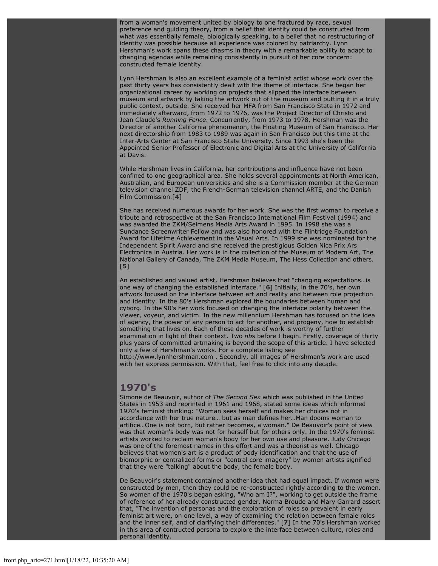from a woman's movement united by biology to one fractured by race, sexual preference and guiding theory, from a belief that identity could be constructed from what was essentially female, biologically speaking, to a belief that no restructuring of identity was possible because all experience was colored by patriarchy. Lynn Hershman's work spans these chasms in theory with a remarkable ability to adapt to changing agendas while remaining consistently in pursuit of her core concern: constructed female identity.

Lynn Hershman is also an excellent example of a feminist artist whose work over the past thirty years has consistently dealt with the theme of interface. She began her organizational career by working on projects that slipped the interface between museum and artwork by taking the artwork out of the museum and putting it in a truly public context, outside. She received her MFA from San Francisco State in 1972 and immediately afterward, from 1972 to 1976, was the Project Director of Christo and Jean Claude's *Running Fence*. Concurrently, from 1973 to 1978, Hershman was the Director of another California phenomenon, the Floating Museum of San Francisco. Her next directorship from 1983 to 1989 was again in San Francisco but this time at the Inter-Arts Center at San Francisco State University. Since 1993 she's been the Appointed Senior Professor of Electronic and Digital Arts at the University of California at Davis.

While Hershman lives in California, her contributions and influence have not been confined to one geographical area. She holds several appointments at North American, Australian, and European universities and she is a Commission member at the German television channel ZDF, the French-German television channel ARTE, and the Danish Film Commission.[**[4](file:///Users/nszydlowski/Desktop/websites%20copy/Switch%20Journal/switch.sjsu.edu/archive/nextswitch/switch_engine/front/front.php_artc%3d271.html#footnotes)**]

She has received numerous awards for her work. She was the first woman to receive a tribute and retrospective at the San Francisco International Film Festival (1994) and was awarded the ZKM/Seimens Media Arts Award in 1995. In 1998 she was a Sundance Screenwriter Fellow and was also honored with the Flintridge Foundation Award for Lifetime Achievement in the Visual Arts. In 1999 she was nominated for the Independent Spirit Award and she received the prestigious Golden Nica Prix Ars Electronica in Austria. Her work is in the collection of the Museum of Modern Art, The National Gallery of Canada, The ZKM Media Museum, The Hess Collection and others. [**[5](file:///Users/nszydlowski/Desktop/websites%20copy/Switch%20Journal/switch.sjsu.edu/archive/nextswitch/switch_engine/front/front.php_artc%3d271.html#footnotes)**]

An established and valued artist, Hershman believes that "changing expectations…is one way of changing the established interface." [**[6](file:///Users/nszydlowski/Desktop/websites%20copy/Switch%20Journal/switch.sjsu.edu/archive/nextswitch/switch_engine/front/front.php_artc%3d271.html#footnotes)**] Initially, in the 70's, her own artwork focused on the interface between art and reality and between role projection and identity. In the 80's Hershman explored the boundaries between human and cyborg. In the 90's her work focused on changing the interface polarity between the viewer, voyeur, and victim. In the new millennium Hershman has focused on the idea of agency, the power of any person to act for another, and progeny, how to establish something that lives on. Each of these decades of work is worthy of further examination in light of their context. Two *nb*s before I begin. Firstly, coverage of thirty plus years of committed artmaking is beyond the scope of this article. I have selected only a few of Hershman's works. For a complete listing see http://www.lynnhershman.com . Secondly, all images of Hershman's work are used with her express permission. With that, feel free to click into any decade.

#### **1970's**

Simone de Beauvoir, author of *The Second Sex* which was published in the United States in 1953 and reprinted in 1961 and 1968, stated some ideas which informed 1970's feminist thinking: "Woman sees herself and makes her choices not in accordance with her true nature… but as man defines her…Man dooms woman to artifice…One is not born, but rather becomes, a woman." De Beauvoir's point of view was that woman's body was not for herself but for others only. In the 1970's feminist artists worked to reclaim woman's body for her own use and pleasure. Judy Chicago was one of the foremost names in this effort and was a theorist as well. Chicago believes that women's art is a product of body identification and that the use of biomorphic or centralized forms or "central core imagery" by women artists signified that they were "talking" about the body, the female body.

De Beauvoir's statement contained another idea that had equal impact. If women were constructed by men, then they could be re-constructed rightly according to the women. So women of the 1970's began asking, "Who am I?", working to get outside the frame of reference of her already constructed gender. Norma Broude and Mary Garrard assert that, "The invention of personas and the exploration of roles so prevalent in early feminist art were, on one level, a way of examining the relation between female roles and the inner self, and of clarifying their differences." [**[7](file:///Users/nszydlowski/Desktop/websites%20copy/Switch%20Journal/switch.sjsu.edu/archive/nextswitch/switch_engine/front/front.php_artc%3d271.html#footnotes)**] In the 70's Hershman worked in this area of contructed persona to explore the interface between culture, roles and personal identity.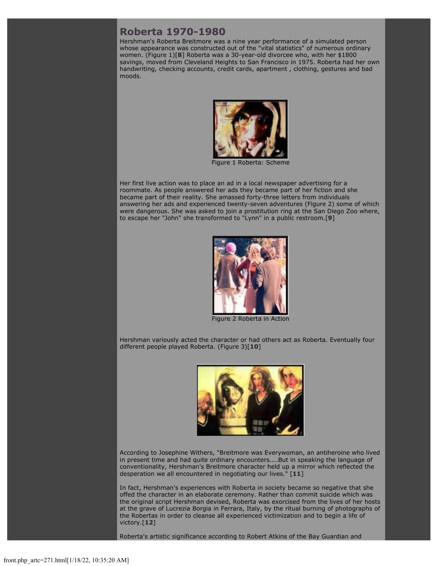### **Roberta 1970-1980**

Hershman's Roberta Breitmore was a nine year performance of a simulated person whose appearance was constructed out of the "vital statistics" of numerous ordinary women. (Figure 1)[**[8](file:///Users/nszydlowski/Desktop/websites%20copy/Switch%20Journal/switch.sjsu.edu/archive/nextswitch/switch_engine/front/front.php_artc%3d271.html#footnotes)**] Roberta was a 30-year-old divorcee who, with her \$1800 savings, moved from Cleveland Heights to San Francisco in 1975. Roberta had her own handwriting, checking accounts, credit cards, apartment , clothing, gestures and bad moods.



Figure 1 Roberta: Scheme

Her first live action was to place an ad in a local newspaper advertising for a roommate. As people answered her ads they became part of her fiction and she became part of their reality. She amassed forty-three letters from individuals answering her ads and experienced twenty-seven adventures (Figure 2) some of which were dangerous. She was asked to join a prostitution ring at the San Diego Zoo where, to escape her "John" she transformed to "Lynn" in a public restroom.[**[9](file:///Users/nszydlowski/Desktop/websites%20copy/Switch%20Journal/switch.sjsu.edu/archive/nextswitch/switch_engine/front/front.php_artc%3d271.html#footnotes)**]



Figure 2 Roberta in Action

Hershman variously acted the character or had others act as Roberta. Eventually four different people played Roberta. (Figure 3)[**[10](file:///Users/nszydlowski/Desktop/websites%20copy/Switch%20Journal/switch.sjsu.edu/archive/nextswitch/switch_engine/front/front.php_artc%3d271.html#footnotes)**]



According to Josephine Withers, "Breitmore was Everywoman, an antiheroine who lived in present time and had quite ordinary encounters....But in speaking the language of conventionality, Hershman's Breitmore character held up a mirror which reflected the desperation we all encountered in negotiating our lives." [**[11](file:///Users/nszydlowski/Desktop/websites%20copy/Switch%20Journal/switch.sjsu.edu/archive/nextswitch/switch_engine/front/front.php_artc%3d271.html#footnotes)**]

In fact, Hershman's experiences with Roberta in society became so negative that she offed the character in an elaborate ceremony. Rather than commit suicide which was the original script Hershman devised, Roberta was exorcised from the lives of her hosts at the grave of Lucrezia Borgia in Ferrara, Italy, by the ritual burning of photographs of the Robertas in order to cleanse all experienced victimization and to begin a life of victory.[**[12](file:///Users/nszydlowski/Desktop/websites%20copy/Switch%20Journal/switch.sjsu.edu/archive/nextswitch/switch_engine/front/front.php_artc%3d271.html#footnotes)**]

Roberta's artistic significance according to Robert Atkins of the Bay Guardian and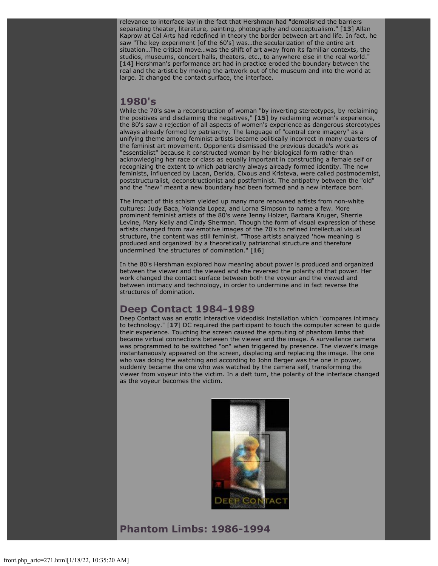relevance to interface lay in the fact that Hershman had "demolished the barriers separating theater, literature, painting, photography and conceptualism." [**[13](file:///Users/nszydlowski/Desktop/websites%20copy/Switch%20Journal/switch.sjsu.edu/archive/nextswitch/switch_engine/front/front.php_artc%3d271.html#footnotes)**] Allan Kaprow at Cal Arts had redefined in theory the border between art and life. In fact, he saw "The key experiment [of the 60's] was…the secularization of the entire art situation…The critical move…was the shift of art away from its familiar contexts, the studios, museums, concert halls, theaters, etc., to anywhere else in the real world." [**[14](file:///Users/nszydlowski/Desktop/websites%20copy/Switch%20Journal/switch.sjsu.edu/archive/nextswitch/switch_engine/front/front.php_artc%3d271.html#footnotes)**] Hershman's performance art had in practice eroded the boundary between the real and the artistic by moving the artwork out of the museum and into the world at large. It changed the contact surface, the interface.

#### **1980's**

While the 70's saw a reconstruction of woman "by inverting stereotypes, by reclaiming the positives and disclaiming the negatives," [**[15](file:///Users/nszydlowski/Desktop/websites%20copy/Switch%20Journal/switch.sjsu.edu/archive/nextswitch/switch_engine/front/front.php_artc%3d271.html#footnotes)**] by reclaiming women's experience, the 80's saw a rejection of all aspects of women's experience as dangerous stereotypes always already formed by patriarchy. The language of "central core imagery" as a unifying theme among feminist artists became politically incorrect in many quarters of the feminist art movement. Opponents dismissed the previous decade's work as "essentialist" because it constructed woman by her biological form rather than acknowledging her race or class as equally important in constructing a female self or recognizing the extent to which patriarchy always already formed identity. The new feminists, influenced by Lacan, Derida, Cixous and Kristeva, were called postmodernist, poststructuralist, deconstructionist and postfeminist. The antipathy between the "old" and the "new" meant a new boundary had been formed and a new interface born.

The impact of this schism yielded up many more renowned artists from non-white cultures: Judy Baca, Yolanda Lopez, and Lorna Simpson to name a few. More prominent feminist artists of the 80's were Jenny Holzer, Barbara Kruger, Sherrie Levine, Mary Kelly and Cindy Sherman. Though the form of visual expression of these artists changed from raw emotive images of the 70's to refined intellectual visual structure, the content was still feminist. "Those artists analyzed 'how meaning is produced and organized' by a theoretically patriarchal structure and therefore undermined 'the structures of domination." [**[16](file:///Users/nszydlowski/Desktop/websites%20copy/Switch%20Journal/switch.sjsu.edu/archive/nextswitch/switch_engine/front/front.php_artc%3d271.html#footnotes)**]

In the 80's Hershman explored how meaning about power is produced and organized between the viewer and the viewed and she reversed the polarity of that power. Her work changed the contact surface between both the voyeur and the viewed and between intimacy and technology, in order to undermine and in fact reverse the structures of domination.

### **Deep Contact 1984-1989**

Deep Contact was an erotic interactive videodisk installation which "compares intimacy to technology." [**[17](file:///Users/nszydlowski/Desktop/websites%20copy/Switch%20Journal/switch.sjsu.edu/archive/nextswitch/switch_engine/front/front.php_artc%3d271.html#footnotes)**] DC required the participant to touch the computer screen to guide their experience. Touching the screen caused the sprouting of phantom limbs that became virtual connections between the viewer and the image. A surveillance camera was programmed to be switched "on" when triggered by presence. The viewer's image instantaneously appeared on the screen, displacing and replacing the image. The one who was doing the watching and according to John Berger was the one in power, suddenly became the one who was watched by the camera self, transforming the viewer from voyeur into the victim. In a deft turn, the polarity of the interface changed as the voyeur becomes the victim.



**Phantom Limbs: 1986-1994**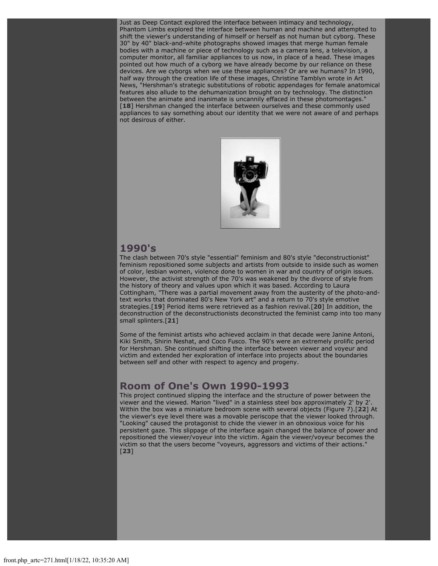Just as Deep Contact explored the interface between intimacy and technology, Phantom Limbs explored the interface between human and machine and attempted to shift the viewer's understanding of himself or herself as not human but cyborg. These 30" by 40" black-and-white photographs showed images that merge human female bodies with a machine or piece of technology such as a camera lens, a television, a computer monitor, all familiar appliances to us now, in place of a head. These images pointed out how much of a cyborg we have already become by our reliance on these devices. Are we cyborgs when we use these appliances? Or are we humans? In 1990, half way through the creation life of these images, Christine Tamblyn wrote in Art News, "Hershman's strategic substitutions of robotic appendages for female anatomical features also allude to the dehumanization brought on by technology. The distinction between the animate and inanimate is uncannily effaced in these photomontages." [**[18](file:///Users/nszydlowski/Desktop/websites%20copy/Switch%20Journal/switch.sjsu.edu/archive/nextswitch/switch_engine/front/front.php_artc%3d271.html#footnotes)**] Hershman changed the interface between ourselves and these commonly used appliances to say something about our identity that we were not aware of and perhaps not desirous of either.



### **1990's**

The clash between 70's style "essential" feminism and 80's style "deconstructionist" feminism repositioned some subjects and artists from outside to inside such as women of color, lesbian women, violence done to women in war and country of origin issues. However, the activist strength of the 70's was weakened by the divorce of style from the history of theory and values upon which it was based. According to Laura Cottingham, "There was a partial movement away from the austerity of the photo-andtext works that dominated 80's New York art" and a return to 70's style emotive strategies.[**[19](file:///Users/nszydlowski/Desktop/websites%20copy/Switch%20Journal/switch.sjsu.edu/archive/nextswitch/switch_engine/front/front.php_artc%3d271.html#footnotes)**] Period items were retrieved as a fashion revival.[**[20](file:///Users/nszydlowski/Desktop/websites%20copy/Switch%20Journal/switch.sjsu.edu/archive/nextswitch/switch_engine/front/front.php_artc%3d271.html#footnotes)**] In addition, the deconstruction of the deconstructionists deconstructed the feminist camp into too many small splinters.[**[21](file:///Users/nszydlowski/Desktop/websites%20copy/Switch%20Journal/switch.sjsu.edu/archive/nextswitch/switch_engine/front/front.php_artc%3d271.html#footnotes)**]

Some of the feminist artists who achieved acclaim in that decade were Janine Antoni, Kiki Smith, Shirin Neshat, and Coco Fusco. The 90's were an extremely prolific period for Hershman. She continued shifting the interface between viewer and voyeur and victim and extended her exploration of interface into projects about the boundaries between self and other with respect to agency and progeny.

## **Room of One's Own 1990-1993**

This project continued slipping the interface and the structure of power between the viewer and the viewed. Marion "lived" in a stainless steel box approximately 2' by 2'. Within the box was a miniature bedroom scene with several objects (Figure 7).[**[22](file:///Users/nszydlowski/Desktop/websites%20copy/Switch%20Journal/switch.sjsu.edu/archive/nextswitch/switch_engine/front/front.php_artc%3d271.html#footnotes)**] At the viewer's eye level there was a movable periscope that the viewer looked through. "Looking" caused the protagonist to chide the viewer in an obnoxious voice for his persistent gaze. This slippage of the interface again changed the balance of power and repositioned the viewer/voyeur into the victim. Again the viewer/voyeur becomes the victim so that the users become "voyeurs, aggressors and victims of their actions." [**[23](file:///Users/nszydlowski/Desktop/websites%20copy/Switch%20Journal/switch.sjsu.edu/archive/nextswitch/switch_engine/front/front.php_artc%3d271.html#footnotes)**]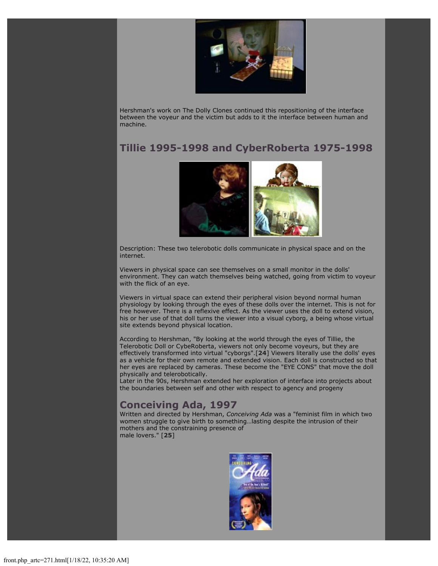

Hershman's work on The Dolly Clones continued this repositioning of the interface between the voyeur and the victim but adds to it the interface between human and machine.

## **Tillie 1995-1998 and CyberRoberta 1975-1998**



Description: These two telerobotic dolls communicate in physical space and on the internet.

Viewers in physical space can see themselves on a small monitor in the dolls' environment. They can watch themselves being watched, going from victim to voyeur with the flick of an eye.

Viewers in virtual space can extend their peripheral vision beyond normal human physiology by looking through the eyes of these dolls over the internet. This is not for free however. There is a reflexive effect. As the viewer uses the doll to extend vision, his or her use of that doll turns the viewer into a visual cyborg, a being whose virtual site extends beyond physical location.

According to Hershman, "By looking at the world through the eyes of Tillie, the Telerobotic Doll or CybeRoberta, viewers not only become voyeurs, but they are effectively transformed into virtual "cyborgs".[**[24](file:///Users/nszydlowski/Desktop/websites%20copy/Switch%20Journal/switch.sjsu.edu/archive/nextswitch/switch_engine/front/front.php_artc%3d271.html#footnotes)**] Viewers literally use the dolls' eyes as a vehicle for their own remote and extended vision. Each doll is constructed so that her eyes are replaced by cameras. These become the "EYE CONS" that move the doll physically and telerobotically.

Later in the 90s, Hershman extended her exploration of interface into projects about the boundaries between self and other with respect to agency and progeny

## **Conceiving Ada, 1997**

Written and directed by Hershman, *Conceiving Ada* was a "feminist film in which two women struggle to give birth to something…lasting despite the intrusion of their mothers and the constraining presence of male lovers." [**[25](file:///Users/nszydlowski/Desktop/websites%20copy/Switch%20Journal/switch.sjsu.edu/archive/nextswitch/switch_engine/front/front.php_artc%3d271.html#footnotes)**]

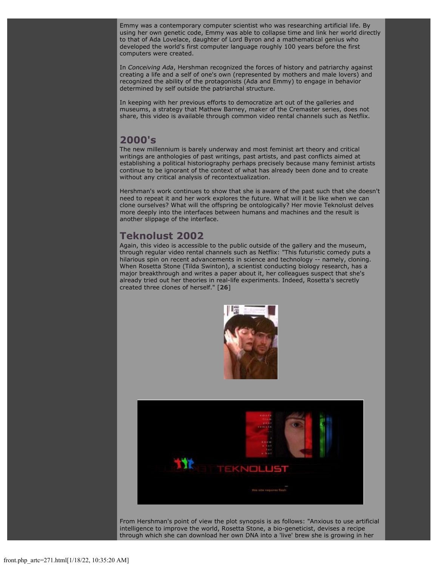Emmy was a contemporary computer scientist who was researching artificial life. By using her own genetic code, Emmy was able to collapse time and link her world directly to that of Ada Lovelace, daughter of Lord Byron and a mathematical genius who developed the world's first computer language roughly 100 years before the first computers were created.

In *Conceiving Ada*, Hershman recognized the forces of history and patriarchy against creating a life and a self of one's own (represented by mothers and male lovers) and recognized the ability of the protagonists (Ada and Emmy) to engage in behavior determined by self outside the patriarchal structure.

In keeping with her previous efforts to democratize art out of the galleries and museums, a strategy that Mathew Barney, maker of the Cremaster series, does not share, this video is available through common video rental channels such as Netflix.

### **2000's**

The new millennium is barely underway and most feminist art theory and critical writings are anthologies of past writings, past artists, and past conflicts aimed at establishing a political historiography perhaps precisely because many feminist artists continue to be ignorant of the context of what has already been done and to create without any critical analysis of recontextualization.

Hershman's work continues to show that she is aware of the past such that she doesn't need to repeat it and her work explores the future. What will it be like when we can clone ourselves? What will the offspring be ontologically? Her movie Teknolust delves more deeply into the interfaces between humans and machines and the result is another slippage of the interface.

## **Teknolust 2002**

Again, this video is accessible to the public outside of the gallery and the museum, through regular video rental channels such as Netflix: "This futuristic comedy puts a hilarious spin on recent advancements in science and technology -- namely, cloning. When Rosetta Stone (Tilda Swinton), a scientist conducting biology research, has a major breakthrough and writes a paper about it, her colleagues suspect that she's already tried out her theories in real-life experiments. Indeed, Rosetta's secretly created three clones of herself." [**[26](file:///Users/nszydlowski/Desktop/websites%20copy/Switch%20Journal/switch.sjsu.edu/archive/nextswitch/switch_engine/front/front.php_artc%3d271.html#footnotes)**]





From Hershman's point of view the plot synopsis is as follows: "Anxious to use artificial intelligence to improve the world, Rosetta Stone, a bio-geneticist, devises a recipe through which she can download her own DNA into a 'live' brew she is growing in her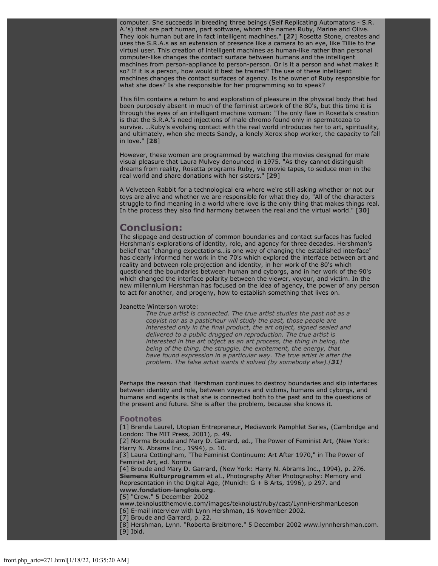computer. She succeeds in breeding three beings (Self Replicating Automatons - S.R. A.'s) that are part human, part software, whom she names Ruby, Marine and Olive. They look human but are in fact intelligent machines." [**[27](file:///Users/nszydlowski/Desktop/websites%20copy/Switch%20Journal/switch.sjsu.edu/archive/nextswitch/switch_engine/front/front.php_artc%3d271.html#footnotes)**] Rosetta Stone, creates and uses the S.R.A.s as an extension of presence like a camera to an eye, like Tillie to the virtual user. This creation of intelligent machines as human-like rather than personal computer-like changes the contact surface between humans and the intelligent machines from person-appliance to person-person. Or is it a person and what makes it so? If it is a person, how would it best be trained? The use of these intelligent machines changes the contact surfaces of agency. Is the owner of Ruby responsible for what she does? Is she responsible for her programming so to speak?

This film contains a return to and exploration of pleasure in the physical body that had been purposely absent in much of the feminist artwork of the 80's, but this time it is through the eyes of an intelligent machine woman: "The only flaw in Rosetta's creation is that the S.R.A.'s need injections of male chromo found only in spermatozoa to survive. …Ruby's evolving contact with the real world introduces her to art, spirituality, and ultimately, when she meets Sandy, a lonely Xerox shop worker, the capacity to fall in love." [**[28](file:///Users/nszydlowski/Desktop/websites%20copy/Switch%20Journal/switch.sjsu.edu/archive/nextswitch/switch_engine/front/front.php_artc%3d271.html#footnotes)**]

However, these women are programmed by watching the movies designed for male visual pleasure that Laura Mulvey denounced in 1975. "As they cannot distinguish dreams from reality, Rosetta programs Ruby, via movie tapes, to seduce men in the real world and share donations with her sisters." [**[29](file:///Users/nszydlowski/Desktop/websites%20copy/Switch%20Journal/switch.sjsu.edu/archive/nextswitch/switch_engine/front/front.php_artc%3d271.html#footnotes)**]

A Velveteen Rabbit for a technological era where we're still asking whether or not our toys are alive and whether we are responsible for what they do, "All of the characters struggle to find meaning in a world where love is the only thing that makes things real. In the process they also find harmony between the real and the virtual world." [**[30](file:///Users/nszydlowski/Desktop/websites%20copy/Switch%20Journal/switch.sjsu.edu/archive/nextswitch/switch_engine/front/front.php_artc%3d271.html#footnotes)**]

### **Conclusion:**

The slippage and destruction of common boundaries and contact surfaces has fueled Hershman's explorations of identity, role, and agency for three decades. Hershman's belief that "changing expectations…is one way of changing the established interface" has clearly informed her work in the 70's which explored the interface between art and reality and between role projection and identity, in her work of the 80's which questioned the boundaries between human and cyborgs, and in her work of the 90's which changed the interface polarity between the viewer, voyeur, and victim. In the new millennium Hershman has focused on the idea of agency, the power of any person to act for another, and progeny, how to establish something that lives on.

#### Jeanette Winterson wrote:

*The true artist is connected. The true artist studies the past not as a copyist nor as a pasticheur will study the past, those people are interested only in the final product, the art object, signed sealed and delivered to a public drugged on reproduction. The true artist is interested in the art object as an art process, the thing in being, the being of the thing, the struggle, the excitement, the energy, that have found expression in a particular way. The true artist is after the problem. The false artist wants it solved (by somebody else).[[31](file:///Users/nszydlowski/Desktop/websites%20copy/Switch%20Journal/switch.sjsu.edu/archive/nextswitch/switch_engine/front/front.php_artc%3d271.html#footnotes)]*

Perhaps the reason that Hershman continues to destroy boundaries and slip interfaces between identity and role, between voyeurs and victims, humans and cyborgs, and humans and agents is that she is connected both to the past and to the questions of the present and future. She is after the problem, because she knows it.

#### **Footnotes**

[1] Brenda Laurel, Utopian Entrepreneur, Mediawork Pamphlet Series, (Cambridge and London: The MIT Press, 2001), p. 49.

[2] Norma Broude and Mary D. Garrard, ed., The Power of Feminist Art, (New York: Harry N. Abrams Inc., 1994), p. 10.

[3] Laura Cottingham, "The Feminist Continuum: Art After 1970," in The Power of Feminist Art, ed. Norma

[4] Broude and Mary D. Garrard, (New York: Harry N. Abrams Inc., 1994), p. 276. **[Siemens Kulturprogramm](http://www.amazon.com/exec/obidos/search-handle-url/index=books&field-author=Kulturprogramm, Siemens/103-2150011-2095845)** et al., Photography After Photography: Memory and Representation in the Digital Age, (Munich: G + B Arts, 1996), p 297. and **[www.fondation-langlois.org](http://www.fondation-langlois.org/e/projets/230-5-2000/artiste.html)**.

[5] "Crew." 5 December 2002

www.teknolustthemovie.com/images/teknolust/ruby/cast/LynnHershmanLeeson [6] E-mail interview with Lynn Hershman, 16 November 2002.

[7] Broude and Garrard, p. 22.

[8] Hershman, Lynn. "Roberta Breitmore." 5 December 2002 www.lynnhershman.com. [9] Ibid.